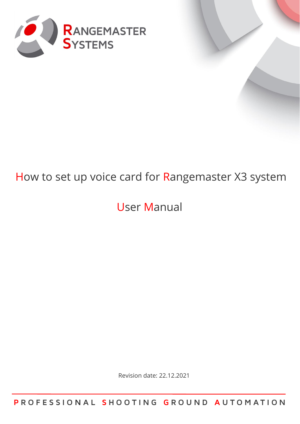

# How to set up voice card for Rangemaster X3 system

# User Manual

Revision date: 22.12.2021

**P R O F E S S I O N A L S H O O T I N G G R O U N D A U T O M A T I O N**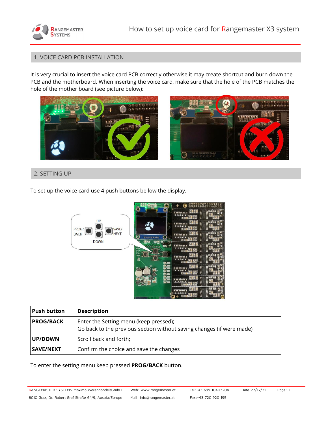

### 1. VOICE CARD PCB INSTALLATION

It is very crucial to insert the voice card PCB correctly otherwise it may create shortcut and burn down the PCB and the motherboard. When inserting the voice card, make sure that the hole of the PCB matches the hole of the mother board (see picture below):





### 2. SETTING UP

To set up the voice card use 4 push buttons bellow the display.



| <b>Push button</b> | <b>Description</b>                                                                                              |
|--------------------|-----------------------------------------------------------------------------------------------------------------|
| <b>PROG/BACK</b>   | Enter the Setting menu (keep pressed);<br>Go back to the previous section without saving changes (if were made) |
| <b>UP/DOWN</b>     | Scroll back and forth;                                                                                          |
| SAVE/NEXT          | Confirm the choice and save the changes                                                                         |

To enter the setting menu keep pressed **PROG/BACK** button.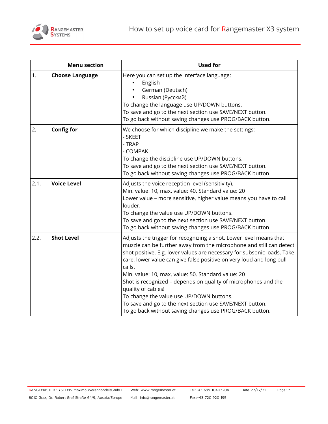

|      | <b>Menu section</b>    | <b>Used for</b>                                                                                                                                                                                                                                                                                                                                                                                                                                                                                                                                                                                                         |  |  |  |  |  |  |
|------|------------------------|-------------------------------------------------------------------------------------------------------------------------------------------------------------------------------------------------------------------------------------------------------------------------------------------------------------------------------------------------------------------------------------------------------------------------------------------------------------------------------------------------------------------------------------------------------------------------------------------------------------------------|--|--|--|--|--|--|
| 1.   | <b>Choose Language</b> | Here you can set up the interface language:<br>English<br>German (Deutsch)<br>Russian (Русский)<br>To change the language use UP/DOWN buttons.<br>To save and go to the next section use SAVE/NEXT button.<br>To go back without saving changes use PROG/BACK button.                                                                                                                                                                                                                                                                                                                                                   |  |  |  |  |  |  |
| 2.   | <b>Config for</b>      | We choose for which discipline we make the settings:<br>- SKEET<br>- TRAP<br>- COMPAK<br>To change the discipline use UP/DOWN buttons.<br>To save and go to the next section use SAVE/NEXT button.<br>To go back without saving changes use PROG/BACK button.                                                                                                                                                                                                                                                                                                                                                           |  |  |  |  |  |  |
| 2.1. | <b>Voice Level</b>     | Adjusts the voice reception level (sensitivity).<br>Min. value: 10, max. value: 40. Standard value: 20<br>Lower value - more sensitive, higher value means you have to call<br>louder.<br>To change the value use UP/DOWN buttons.<br>To save and go to the next section use SAVE/NEXT button.<br>To go back without saving changes use PROG/BACK button.                                                                                                                                                                                                                                                               |  |  |  |  |  |  |
| 2.2. | <b>Shot Level</b>      | Adjusts the trigger for recognizing a shot. Lower level means that<br>muzzle can be further away from the microphone and still can detect<br>shot positive. E.g. lover values are necessary for subsonic loads. Take<br>care: lower value can give false positive on very loud and long pull<br>calls.<br>Min. value: 10, max. value: 50. Standard value: 20<br>Shot is recognized - depends on quality of microphones and the<br>quality of cables!<br>To change the value use UP/DOWN buttons.<br>To save and go to the next section use SAVE/NEXT button.<br>To go back without saving changes use PROG/BACK button. |  |  |  |  |  |  |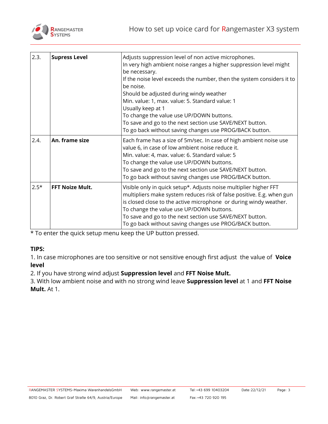

| 2.3.   | <b>Supress Level</b>   | Adjusts suppression level of non active microphones.<br>In very high ambient noise ranges a higher suppression level might<br>be necessary.<br>If the noise level exceeds the number, then the system considers it to<br>be noise.<br>Should be adjusted during windy weather<br>Min. value: 1, max. value: 5. Standard value: 1<br>Usually keep at 1<br>To change the value use UP/DOWN buttons.<br>To save and go to the next section use SAVE/NEXT button.<br>To go back without saving changes use PROG/BACK button. |
|--------|------------------------|--------------------------------------------------------------------------------------------------------------------------------------------------------------------------------------------------------------------------------------------------------------------------------------------------------------------------------------------------------------------------------------------------------------------------------------------------------------------------------------------------------------------------|
| 2.4.   | An. frame size         | Each frame has a size of 5m/sec. In case of high ambient noise use<br>value 6, in case of low ambient noise reduce it.<br>Min. value: 4, max. value: 6. Standard value: 5<br>To change the value use UP/DOWN buttons.<br>To save and go to the next section use SAVE/NEXT button.<br>To go back without saving changes use PROG/BACK button.                                                                                                                                                                             |
| $2.5*$ | <b>FFT Noize Mult.</b> | Visible only in quick setup*. Adjusts noise multiplier higher FFT<br>multipliers make system reduces risk of false positive. E.g. when gun<br>is closed close to the active microphone or during windy weather.<br>To change the value use UP/DOWN buttons.<br>To save and go to the next section use SAVE/NEXT button.<br>To go back without saving changes use PROG/BACK button.                                                                                                                                       |

\* To enter the quick setup menu keep the UP button pressed.

## **TIPS:**

1. In case microphones are too sensitive or not sensitive enough first adjust the value of **Voice level**

2. If you have strong wind adjust **Suppression level** and **FFT Noise Mult.**

3. With low ambient noise and with no strong wind leave **Suppression level** at 1 and **FFT Noise Mult.** At 1.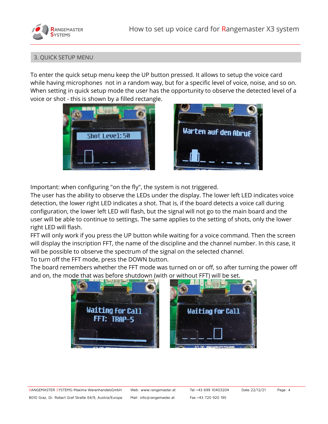



#### 3. QUICK SETUP MENU

To enter the quick setup menu keep the UP button pressed. It allows to setup the voice card while having microphones not in a random way, but for a specific level of voice, noise, and so on. When setting in quick setup mode the user has the opportunity to observe the detected level of a voice or shot - this is shown by a filled rectangle.





Important: when configuring "on the fly", the system is not triggered.

The user has the ability to observe the LEDs under the display. The lower left LED indicates voice detection, the lower right LED indicates a shot. That is, if the board detects a voice call during configuration, the lower left LED will flash, but the signal will not go to the main board and the user will be able to continue to settings. The same applies to the setting of shots, only the lower right LED will flash.

FFT will only work if you press the UP button while waiting for a voice command. Then the screen will display the inscription FFT, the name of the discipline and the channel number. In this case, it will be possible to observe the spectrum of the signal on the selected channel.

To turn off the FFT mode, press the DOWN button.

The board remembers whether the FFT mode was turned on or off, so after turning the power off and on, the mode that was before shutdown (with or without FFT) will be set.

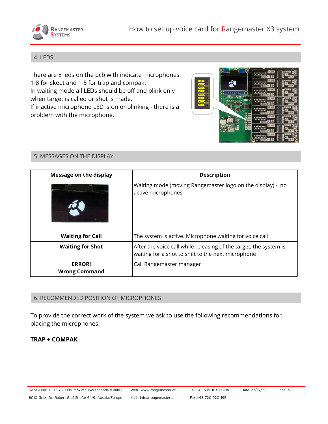

### 4. LEDS

There are 8 leds on the pcb with indicate microphones: 1-8 for skeet and 1-5 for trap and compak. In waiting mode all LEDs should be off and blink only when target is called or shot is made. If inactive microphone LED is on or blinking - there is a problem with the microphone.

| <b>STEER</b>                                                       |      |                                                                   |
|--------------------------------------------------------------------|------|-------------------------------------------------------------------|
|                                                                    |      | Ξ<br>$\frac{1}{2}$<br>a da saula<br>La La La La<br><b>United</b>  |
| CH1<br>$\boldsymbol{\sigma}$<br>CH <sub>2</sub><br>CH <sub>3</sub> |      | пиц<br>ja ala ata ata s<br><b>Alalala</b><br>50-99                |
| CH4<br>റെ<br>55444<br>a.<br>CH5<br>6.492<br>⊒⊙<br>$\frac{1}{2}$    | ø    | шш<br>is who who who<br>8161916<br>2000100                        |
| CH6<br><b>File</b><br>CH7<br>CHS <b>CH</b>                         | on - | 猏<br>шщ<br>a ala ala ala a<br>La La La La<br><b>Shaking</b>       |
| ies                                                                |      | <b>HILL</b><br>sa salsa salsa saba<br>alaisia<br><b>Al-Magnet</b> |
| E<br>cing.<br>N<br>iks<br>$\blacksquare$                           |      | шш<br>as quae quae quae qu<br>.m   m   m   m<br><b>SI-030</b>     |
| 靈                                                                  |      | шщ<br>is als<br>tales railes or<br>10101010<br>ŢΩ<br>Si-alteri    |
|                                                                    |      | шш<br>who who<br>1-ale                                            |
|                                                                    |      |                                                                   |

### 5. MESSAGES ON THE DISPLAY

| Message on the display                | <b>Description</b>                                                                                                      |  |  |  |  |
|---------------------------------------|-------------------------------------------------------------------------------------------------------------------------|--|--|--|--|
|                                       | Waiting mode (moving Rangemaster logo on the display) - no<br>active microphones                                        |  |  |  |  |
| <b>Waiting for Call</b>               | The system is active. Microphone waiting for voice call                                                                 |  |  |  |  |
| <b>Waiting for Shot</b>               | After the voice call while releasing of the target, the system is<br>waiting for a shot to shift to the next microphone |  |  |  |  |
| <b>ERROR!</b><br><b>Wrong Command</b> | Call Rangemaster manager                                                                                                |  |  |  |  |

#### 6. RECOMMENDED POSITION OF MICROPHONES

To provide the correct work of the system we ask to use the following recommendations for placing the microphones.

## **TRAP + COMPAK**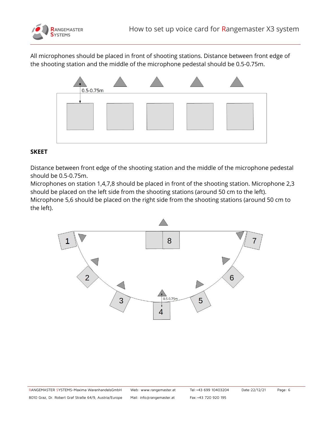

All microphones should be placed in front of shooting stations. Distance between front edge of the shooting station and the middle of the microphone pedestal should be 0.5-0.75m.



## **SKEET**

Distance between front edge of the shooting station and the middle of the microphone pedestal should be 0.5-0.75m.

Microphones on station 1,4,7,8 should be placed in front of the shooting station. Microphone 2,3 should be placed on the left side from the shooting stations (around 50 cm to the left).

Microphone 5,6 should be placed on the right side from the shooting stations (around 50 cm to the left).

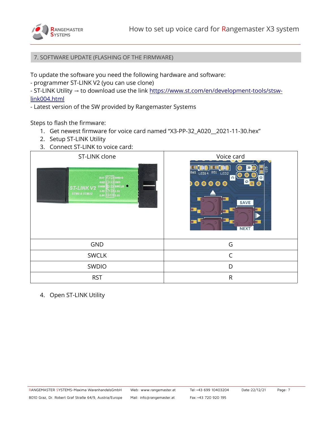

7. SOFTWARE UPDATE (FLASHING OF THE FIRMWARE)

To update the software you need the following hardware and software:

- programmer ST-LINK V2 (you can use clone)
- ST-LINK Utility → to download use the link [https://www.st.com/en/development-tools/stsw](https://www.st.com/en/development-tools/stsw-link004.html)[link004.html](https://www.st.com/en/development-tools/stsw-link004.html)
- Latest version of the SW provided by Rangemaster Systems

Steps to flash the firmware:

- 1. Get newest firmware for voice card named "X3-PP-32\_A020\_\_2021-11-30.hex"
- 2. Setup ST-LINK Utility
- 3. Connect ST-LINK to voice card:



4. Open ST-LINK Utility